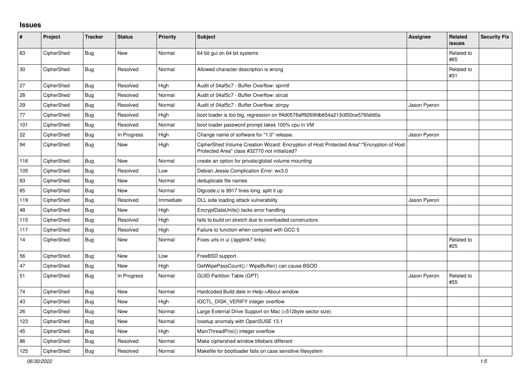## **Issues**

| $\vert$ # | Project    | <b>Tracker</b> | <b>Status</b> | Priority  | <b>Subject</b>                                                                                                                             | Assignee     | Related<br><b>issues</b> | <b>Security Fix</b> |
|-----------|------------|----------------|---------------|-----------|--------------------------------------------------------------------------------------------------------------------------------------------|--------------|--------------------------|---------------------|
| 63        | CipherShed | <b>Bug</b>     | <b>New</b>    | Normal    | 64 bit gui on 64 bit systems                                                                                                               |              | Related to<br>#65        |                     |
| 30        | CipherShed | Bug            | Resolved      | Normal    | Allowed character description is wrong                                                                                                     |              | Related to<br>#31        |                     |
| 27        | CipherShed | <b>Bug</b>     | Resolved      | High      | Audit of 04af5c7 - Buffer Overflow: sprintf                                                                                                |              |                          |                     |
| 28        | CipherShed | Bug            | Resolved      | Normal    | Audit of 04af5c7 - Buffer Overflow: strcat                                                                                                 |              |                          |                     |
| 29        | CipherShed | Bug            | Resolved      | Normal    | Audit of 04af5c7 - Buffer Overflow: strcpy                                                                                                 | Jason Pyeron |                          |                     |
| 77        | CipherShed | Bug            | Resolved      | High      | boot loader is too big, regression on ff4d0578aff9269fdb654a213c850ce576fafd0a                                                             |              |                          |                     |
| 101       | CipherShed | <b>Bug</b>     | Resolved      | Normal    | boot loader password prompt takes 100% cpu in VM                                                                                           |              |                          |                     |
| 22        | CipherShed | Bug            | In Progress   | High      | Change name of software for "1.0" release.                                                                                                 | Jason Pyeron |                          |                     |
| 94        | CipherShed | <b>Bug</b>     | New           | High      | CipherShed Volume Creation Wizard: Encryption of Host Protected Area":"Encryption of Host<br>Protected Area" class #32770 not initialized? |              |                          |                     |
| 116       | CipherShed | <b>Bug</b>     | <b>New</b>    | Normal    | create an option for private/global volume mounting                                                                                        |              |                          |                     |
| 105       | CipherShed | Bug            | Resolved      | Low       | Debian Jessie Complication Error: wx3.0                                                                                                    |              |                          |                     |
| 83        | CipherShed | Bug            | New           | Normal    | deduplicate file names                                                                                                                     |              |                          |                     |
| 85        | CipherShed | Bug            | <b>New</b>    | Normal    | Digcode.c is 9917 lines long, split it up                                                                                                  |              |                          |                     |
| 119       | CipherShed | Bug            | Resolved      | Immediate | DLL side loading attack vulnerability                                                                                                      | Jason Pyeron |                          |                     |
| 48        | CipherShed | Bug            | <b>New</b>    | High      | EncryptDataUnits() lacks error handling                                                                                                    |              |                          |                     |
| 115       | CipherShed | <b>Bug</b>     | Resolved      | High      | fails to build on stretch due to overloaded constructors                                                                                   |              |                          |                     |
| 117       | CipherShed | Bug            | Resolved      | High      | Failure to function when compiled with GCC 5                                                                                               |              |                          |                     |
| 14        | CipherShed | <b>Bug</b>     | New           | Normal    | Fixes urls in ui (/applink? links)                                                                                                         |              | Related to<br>#25        |                     |
| 56        | CipherShed | <b>Bug</b>     | <b>New</b>    | Low       | FreeBSD support                                                                                                                            |              |                          |                     |
| 47        | CipherShed | Bug            | New           | High      | GetWipePassCount() / WipeBuffer() can cause BSOD                                                                                           |              |                          |                     |
| 51        | CipherShed | Bug            | In Progress   | Normal    | <b>GUID Partition Table (GPT)</b>                                                                                                          | Jason Pyeron | Related to<br>#55        |                     |
| 74        | CipherShed | Bug            | <b>New</b>    | Normal    | Hardcoded Build date in Help->About window                                                                                                 |              |                          |                     |
| 43        | CipherShed | Bug            | <b>New</b>    | High      | <b>IOCTL DISK VERIFY integer overflow</b>                                                                                                  |              |                          |                     |
| 26        | CipherShed | <b>Bug</b>     | <b>New</b>    | Normal    | Large External Drive Support on Mac (>512byte sector size)                                                                                 |              |                          |                     |
| 123       | CipherShed | Bug            | New           | Normal    | losetup anomaly with OpenSUSE 13.1                                                                                                         |              |                          |                     |
| 45        | CipherShed | Bug            | <b>New</b>    | High      | MainThreadProc() integer overflow                                                                                                          |              |                          |                     |
| 86        | CipherShed | <b>Bug</b>     | Resolved      | Normal    | Make ciphershed window titlebars different                                                                                                 |              |                          |                     |
| 125       | CipherShed | Bug            | Resolved      | Normal    | Makefile for bootloader fails on case sensitive filesystem                                                                                 |              |                          |                     |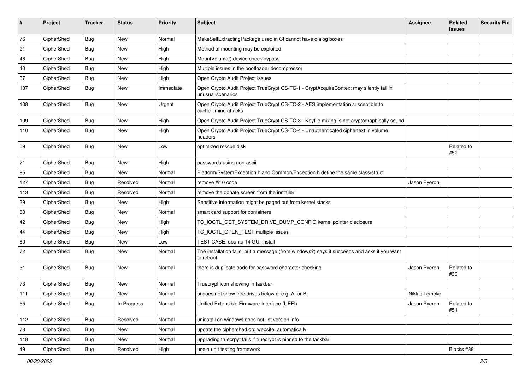| #   | Project    | <b>Tracker</b> | <b>Status</b> | Priority  | <b>Subject</b>                                                                                              | <b>Assignee</b> | Related<br><b>issues</b> | <b>Security Fix</b> |
|-----|------------|----------------|---------------|-----------|-------------------------------------------------------------------------------------------------------------|-----------------|--------------------------|---------------------|
| 76  | CipherShed | <b>Bug</b>     | New           | Normal    | MakeSelfExtractingPackage used in CI cannot have dialog boxes                                               |                 |                          |                     |
| 21  | CipherShed | Bug            | New           | High      | Method of mounting may be exploited                                                                         |                 |                          |                     |
| 46  | CipherShed | Bug            | New           | High      | MountVolume() device check bypass                                                                           |                 |                          |                     |
| 40  | CipherShed | <b>Bug</b>     | <b>New</b>    | High      | Multiple issues in the bootloader decompressor                                                              |                 |                          |                     |
| 37  | CipherShed | Bug            | New           | High      | Open Crypto Audit Project issues                                                                            |                 |                          |                     |
| 107 | CipherShed | <b>Bug</b>     | New           | Immediate | Open Crypto Audit Project TrueCrypt CS-TC-1 - CryptAcquireContext may silently fail in<br>unusual scenarios |                 |                          |                     |
| 108 | CipherShed | <b>Bug</b>     | New           | Urgent    | Open Crypto Audit Project TrueCrypt CS-TC-2 - AES implementation susceptible to<br>cache-timing attacks     |                 |                          |                     |
| 109 | CipherShed | <b>Bug</b>     | New           | High      | Open Crypto Audit Project TrueCrypt CS-TC-3 - Keyfile mixing is not cryptographically sound                 |                 |                          |                     |
| 110 | CipherShed | Bug            | New           | High      | Open Crypto Audit Project TrueCrypt CS-TC-4 - Unauthenticated ciphertext in volume<br>headers               |                 |                          |                     |
| 59  | CipherShed | Bug            | New           | Low       | optimized rescue disk                                                                                       |                 | Related to<br>#52        |                     |
| 71  | CipherShed | <b>Bug</b>     | New           | High      | passwords using non-ascii                                                                                   |                 |                          |                     |
| 95  | CipherShed | <b>Bug</b>     | New           | Normal    | Platform/SystemException.h and Common/Exception.h define the same class/struct                              |                 |                          |                     |
| 127 | CipherShed | <b>Bug</b>     | Resolved      | Normal    | remove #if 0 code                                                                                           | Jason Pyeron    |                          |                     |
| 113 | CipherShed | <b>Bug</b>     | Resolved      | Normal    | remove the donate screen from the installer                                                                 |                 |                          |                     |
| 39  | CipherShed | Bug            | New           | High      | Sensitive information might be paged out from kernel stacks                                                 |                 |                          |                     |
| 88  | CipherShed | <b>Bug</b>     | <b>New</b>    | Normal    | smart card support for containers                                                                           |                 |                          |                     |
| 42  | CipherShed | <b>Bug</b>     | New           | High      | TC_IOCTL_GET_SYSTEM_DRIVE_DUMP_CONFIG kernel pointer disclosure                                             |                 |                          |                     |
| 44  | CipherShed | <b>Bug</b>     | <b>New</b>    | High      | TC_IOCTL_OPEN_TEST multiple issues                                                                          |                 |                          |                     |
| 80  | CipherShed | Bug            | New           | Low       | TEST CASE: ubuntu 14 GUI install                                                                            |                 |                          |                     |
| 72  | CipherShed | Bug            | New           | Normal    | The installation fails, but a message (from windows?) says it succeeds and asks if you want<br>to reboot    |                 |                          |                     |
| 31  | CipherShed | Bug            | New           | Normal    | there is duplicate code for password character checking                                                     | Jason Pyeron    | Related to<br>#30        |                     |
| 73  | CipherShed | <b>Bug</b>     | New           | Normal    | Truecrypt icon showing in taskbar                                                                           |                 |                          |                     |
| 111 | CipherShed | <b>Bug</b>     | New           | Normal    | ui does not show free drives below c: e.g. A: or B:                                                         | Niklas Lemcke   |                          |                     |
| 55  | CipherShed | <b>Bug</b>     | In Progress   | Normal    | Unified Extensible Firmware Interface (UEFI)                                                                | Jason Pyeron    | Related to<br>#51        |                     |
| 112 | CipherShed | <b>Bug</b>     | Resolved      | Normal    | uninstall on windows does not list version info                                                             |                 |                          |                     |
| 78  | CipherShed | <b>Bug</b>     | New           | Normal    | update the ciphershed.org website, automatically                                                            |                 |                          |                     |
| 118 | CipherShed | <b>Bug</b>     | New           | Normal    | upgrading truecrpyt fails if truecrypt is pinned to the taskbar                                             |                 |                          |                     |
| 49  | CipherShed | <b>Bug</b>     | Resolved      | High      | use a unit testing framework                                                                                |                 | Blocks #38               |                     |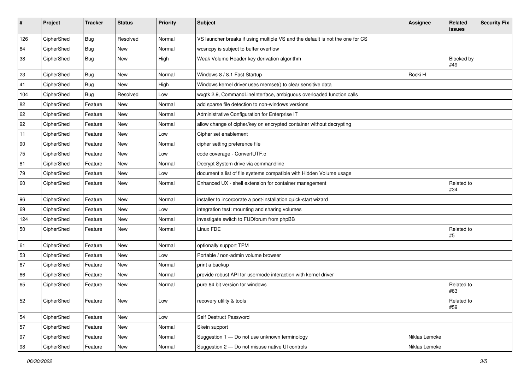| $\sharp$ | Project    | <b>Tracker</b> | <b>Status</b> | <b>Priority</b> | <b>Subject</b>                                                                | <b>Assignee</b> | Related<br><b>issues</b> | <b>Security Fix</b> |
|----------|------------|----------------|---------------|-----------------|-------------------------------------------------------------------------------|-----------------|--------------------------|---------------------|
| 126      | CipherShed | <b>Bug</b>     | Resolved      | Normal          | VS launcher breaks if using multiple VS and the default is not the one for CS |                 |                          |                     |
| 84       | CipherShed | <b>Bug</b>     | New           | Normal          | wcsncpy is subject to buffer overflow                                         |                 |                          |                     |
| 38       | CipherShed | <b>Bug</b>     | New           | High            | Weak Volume Header key derivation algorithm                                   |                 | Blocked by<br>#49        |                     |
| 23       | CipherShed | Bug            | <b>New</b>    | Normal          | Windows 8 / 8.1 Fast Startup                                                  | Rocki H         |                          |                     |
| 41       | CipherShed | <b>Bug</b>     | <b>New</b>    | High            | Windows kernel driver uses memset() to clear sensitive data                   |                 |                          |                     |
| 104      | CipherShed | <b>Bug</b>     | Resolved      | Low             | wxgtk 2.9, CommandLineInterface, ambiguous overloaded function calls          |                 |                          |                     |
| 82       | CipherShed | Feature        | New           | Normal          | add sparse file detection to non-windows versions                             |                 |                          |                     |
| 62       | CipherShed | Feature        | New           | Normal          | Administrative Configuration for Enterprise IT                                |                 |                          |                     |
| 92       | CipherShed | Feature        | New           | Normal          | allow change of cipher/key on encrypted container without decrypting          |                 |                          |                     |
| 11       | CipherShed | Feature        | New           | Low             | Cipher set enablement                                                         |                 |                          |                     |
| 90       | CipherShed | Feature        | <b>New</b>    | Normal          | cipher setting preference file                                                |                 |                          |                     |
| 75       | CipherShed | Feature        | New           | Low             | code coverage - ConvertUTF.c                                                  |                 |                          |                     |
| 81       | CipherShed | Feature        | New           | Normal          | Decrypt System drive via commandline                                          |                 |                          |                     |
| 79       | CipherShed | Feature        | New           | Low             | document a list of file systems compatible with Hidden Volume usage           |                 |                          |                     |
| 60       | CipherShed | Feature        | New           | Normal          | Enhanced UX - shell extension for container management                        |                 | Related to<br>#34        |                     |
| 96       | CipherShed | Feature        | <b>New</b>    | Normal          | installer to incorporate a post-installation quick-start wizard               |                 |                          |                     |
| 69       | CipherShed | Feature        | New           | Low             | integration test: mounting and sharing volumes                                |                 |                          |                     |
| 124      | CipherShed | Feature        | New           | Normal          | investigate switch to FUDforum from phpBB                                     |                 |                          |                     |
| 50       | CipherShed | Feature        | New           | Normal          | Linux FDE                                                                     |                 | Related to<br>#5         |                     |
| 61       | CipherShed | Feature        | <b>New</b>    | Normal          | optionally support TPM                                                        |                 |                          |                     |
| 53       | CipherShed | Feature        | New           | Low             | Portable / non-admin volume browser                                           |                 |                          |                     |
| 67       | CipherShed | Feature        | <b>New</b>    | Normal          | print a backup                                                                |                 |                          |                     |
| 66       | CipherShed | Feature        | New           | Normal          | provide robust API for usermode interaction with kernel driver                |                 |                          |                     |
| 65       | CipherShed | Feature        | New           | Normal          | pure 64 bit version for windows                                               |                 | Related to<br>#63        |                     |
| 52       | CipherShed | Feature        | New           | Low             | recovery utility & tools                                                      |                 | Related to<br>#59        |                     |
| 54       | CipherShed | Feature        | New           | Low             | Self Destruct Password                                                        |                 |                          |                     |
| 57       | CipherShed | Feature        | New           | Normal          | Skein support                                                                 |                 |                          |                     |
| 97       | CipherShed | Feature        | New           | Normal          | Suggestion 1 - Do not use unknown terminology                                 | Niklas Lemcke   |                          |                     |
| 98       | CipherShed | Feature        | New           | Normal          | Suggestion 2 - Do not misuse native UI controls                               | Niklas Lemcke   |                          |                     |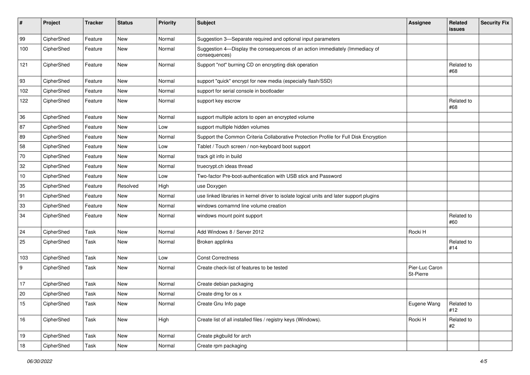| $\sharp$ | Project    | <b>Tracker</b> | <b>Status</b> | <b>Priority</b> | <b>Subject</b>                                                                                | <b>Assignee</b>             | Related<br><b>issues</b> | <b>Security Fix</b> |
|----------|------------|----------------|---------------|-----------------|-----------------------------------------------------------------------------------------------|-----------------------------|--------------------------|---------------------|
| 99       | CipherShed | Feature        | <b>New</b>    | Normal          | Suggestion 3-Separate required and optional input parameters                                  |                             |                          |                     |
| 100      | CipherShed | Feature        | <b>New</b>    | Normal          | Suggestion 4-Display the consequences of an action immediately (Immediacy of<br>consequences) |                             |                          |                     |
| 121      | CipherShed | Feature        | <b>New</b>    | Normal          | Support "not" burning CD on encrypting disk operation                                         |                             | Related to<br>#68        |                     |
| 93       | CipherShed | Feature        | <b>New</b>    | Normal          | support "quick" encrypt for new media (especially flash/SSD)                                  |                             |                          |                     |
| 102      | CipherShed | Feature        | New           | Normal          | support for serial console in bootloader                                                      |                             |                          |                     |
| 122      | CipherShed | Feature        | New           | Normal          | support key escrow                                                                            |                             | Related to<br>#68        |                     |
| 36       | CipherShed | Feature        | <b>New</b>    | Normal          | support multiple actors to open an encrypted volume                                           |                             |                          |                     |
| 87       | CipherShed | Feature        | New           | Low             | support multiple hidden volumes                                                               |                             |                          |                     |
| 89       | CipherShed | Feature        | <b>New</b>    | Normal          | Support the Common Criteria Collaborative Protection Profile for Full Disk Encryption         |                             |                          |                     |
| 58       | CipherShed | Feature        | <b>New</b>    | Low             | Tablet / Touch screen / non-keyboard boot support                                             |                             |                          |                     |
| 70       | CipherShed | Feature        | New           | Normal          | track git info in build                                                                       |                             |                          |                     |
| 32       | CipherShed | Feature        | New           | Normal          | truecrypt.ch ideas thread                                                                     |                             |                          |                     |
| $10\,$   | CipherShed | Feature        | New           | Low             | Two-factor Pre-boot-authentication with USB stick and Password                                |                             |                          |                     |
| 35       | CipherShed | Feature        | Resolved      | High            | use Doxygen                                                                                   |                             |                          |                     |
| 91       | CipherShed | Feature        | New           | Normal          | use linked libraries in kernel driver to isolate logical units and later support plugins      |                             |                          |                     |
| 33       | CipherShed | Feature        | <b>New</b>    | Normal          | windows comamnd line volume creation                                                          |                             |                          |                     |
| 34       | CipherShed | Feature        | New           | Normal          | windows mount point support                                                                   |                             | Related to<br>#60        |                     |
| 24       | CipherShed | Task           | New           | Normal          | Add Windows 8 / Server 2012                                                                   | Rocki H                     |                          |                     |
| 25       | CipherShed | Task           | New           | Normal          | Broken applinks                                                                               |                             | Related to<br>#14        |                     |
| 103      | CipherShed | Task           | <b>New</b>    | Low             | <b>Const Correctness</b>                                                                      |                             |                          |                     |
| 9        | CipherShed | Task           | <b>New</b>    | Normal          | Create check-list of features to be tested                                                    | Pier-Luc Caron<br>St-Pierre |                          |                     |
| 17       | CipherShed | Task           | <b>New</b>    | Normal          | Create debian packaging                                                                       |                             |                          |                     |
| 20       | CipherShed | Task           | New           | Normal          | Create dmg for os x                                                                           |                             |                          |                     |
| 15       | CipherShed | Task           | New           | Normal          | Create Gnu Info page                                                                          | Eugene Wang                 | Related to<br>#12        |                     |
| 16       | CipherShed | Task           | New           | High            | Create list of all installed files / registry keys (Windows).                                 | Rocki H                     | Related to<br>#2         |                     |
| 19       | CipherShed | Task           | New           | Normal          | Create pkgbuild for arch                                                                      |                             |                          |                     |
| $18\,$   | CipherShed | Task           | New           | Normal          | Create rpm packaging                                                                          |                             |                          |                     |